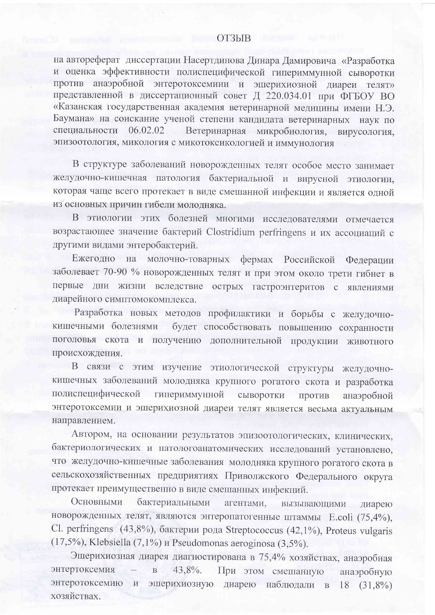## ОТЗЫВ

на автореферат диссертации Насертдинова Динара Дамировича «Разработка и оценка эффективности полиспецифической гипериммунной сыворотки против анаэробной энтеротоксемиии и эшерихиозной диареи телят»<br>представленной в диссертационный совет Д 220.034.01 при ФГБОУ ВО «Казанская государственная академия ветеринарной медицины имени Н.Э. Баумана» на соискание ученой степени кандидата ветеринарных наук по специальности 06.02.02 Ветеринарная микробиология, вирусология, эпизоотология, микология с микотоксикологией и иммунология

В структуре заболеваний новорожденных телят особое место занимает желудочно-кишечная патология бактериальной и вирусной этиологии, которая чаще всего протекает в виде смешанной инфекции и является одной из основных причин гибели молодняка.

В этиологии этих болезней многими исследователями отмечается возрастающее значение бактерий Clostridium perfringens и их ассоциаций с другими видами энтеробактерий.

Ежегодно на молочно-товарных фермах Российской Федерации заболевает 70-90 % новорожденных телят и при этом около трети гибнет в первые дни жизни вследствие острых гастроэнтеритов с явлениями диарейного симптомокомплекса.

Разработка новых методов профилактики и борьбы с желудочнокишечными болезнями будет способствовать повышению сохранности поголовья скота и получению дополнительной продукции животного происхождения.

В связи с этим изучение этиологической структуры желудочнокишечных заболеваний молодняка крупного рогатого скота и разработка полиспецифической гипериммунной сыворотки против анаэробной энтеротоксемии и эшерихиозной диареи телят является весьма актуальным направлением.

Автором, на основании результатов эпизоотологических, клинических, бактериологических и патологоанатомических исследований установлено, что желудочно-кишечные заболевания молодняка крупного рогатого скота в сельскохозяйственных предприятиях Приволжского Федерального округа протекает преимущественно в виде смешанных инфекций.

Основными бактериальными агентами, вызывающими диарею новорожденных телят, являются энтеропатогенные штаммы E.coli (75,4%), Cl. perfringens (43,8%), бактерии рода Streptococcus (42,1%), Proteus vulgaris  $(17,5\%)$ , Klebsiella  $(7,1\%)$  a Pseudomonas aeroginosa  $(3,5\%)$ .

Эшерихиозная диарея диагностирована в 75,4% хозяйствах, анаэробная При этом смешанную энтертоксемия  $\overline{\phantom{a}}$  $\mathbf{B}$  $43,8\%$ . анаэробную энтеротоксемию и эшерихиозную диарею наблюдали в 18 (31,8%) хозяйствах.